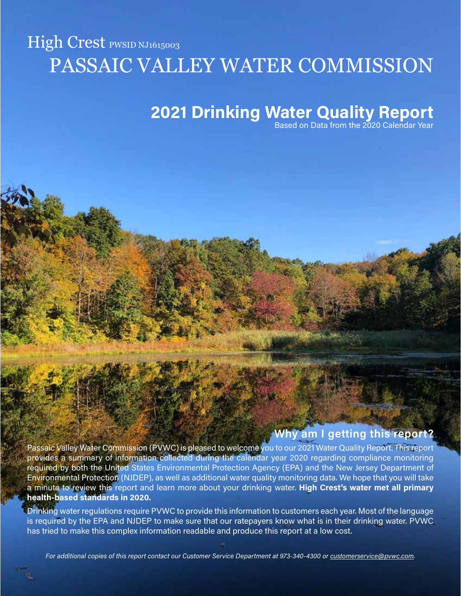# High Crest PWSID NJ1615003 PASSAIC VALLEY WATER COMMISSION

## 2021 Drinking Water Quality Report

Based on Data from the 2020 Calendar Year

## Why am I getting this report?

Passaic Valley Water Commission (PVWC) is pleased to welcome you to our 2021 Water Quality Report. This report provides a summary of information collected during the calendar year 2020 regarding compliance monitoring required by both the United States Environmental Protection Agency (EPA) and the New Jersey Department of Environmental Protection (NJDEP), as well as additional water quality monitoring data. We hope that you will take a minute to review this report and learn more about your drinking water. High Crest's water met all primary health-based standards in 2020.

Drinking water regulations require PVWC to provide this information to customers each year. Most of the language is required by the EPA and NJDEP to make sure that our ratepayers know what is in their drinking water. PVWC has tried to make this complex information readable and produce this report at a low cost.

For additional copies of this report contact our Customer Service Department at 973-340-4300 or [customerservice@pvwc.com.](mailto:customerservice@pvwc.com)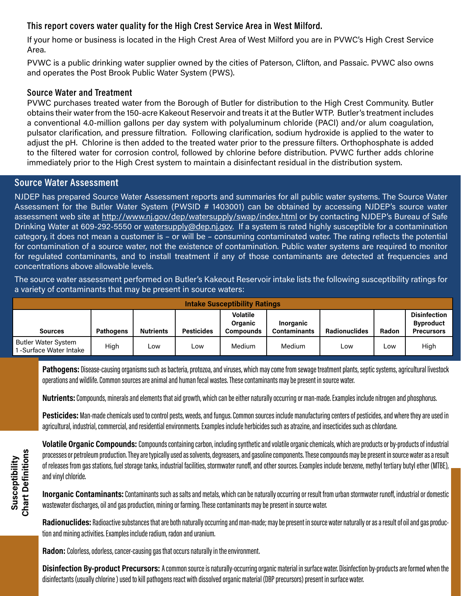## This report covers water quality for the High Crest Service Area in West Milford.

If your home or business is located in the High Crest Area of West Milford you are in PVWC's High Crest Service Area.

PVWC is a public drinking water supplier owned by the cities of Paterson, Clifton, and Passaic. PVWC also owns and operates the Post Brook Public Water System (PWS).

## Source Water and Treatment

PVWC purchases treated water from the Borough of Butler for distribution to the High Crest Community. Butler obtains their water from the 150-acre Kakeout Reservoir and treats it at the Butler WTP. Butler's treatment includes a conventional 4.0-million gallons per day system with polyaluminum chloride (PACl) and/or alum coagulation, pulsator clarification, and pressure filtration. Following clarification, sodium hydroxide is applied to the water to adjust the pH. Chlorine is then added to the treated water prior to the pressure filters. Orthophosphate is added to the filtered water for corrosion control, followed by chlorine before distribution. PVWC further adds chlorine immediately prior to the High Crest system to maintain a disinfectant residual in the distribution system.

## Source Water Assessment

NJDEP has prepared Source Water Assessment reports and summaries for all public water systems. The Source Water Assessment for the Butler Water System (PWSID # 1403001) can be obtained by accessing NJDEP's source water assessment web site at<http://www.nj.gov/dep/watersupply/swap/index.html>or by contacting NJDEP's Bureau of Safe Drinking Water at 609-292-5550 or [watersupply@dep.nj.gov.](mailto:watersupply@dep.nj.gov) If a system is rated highly susceptible for a contamination category, it does not mean a customer is – or will be – consuming contaminated water. The rating reflects the potential for contamination of a source water, not the existence of contamination. Public water systems are required to monitor for regulated contaminants, and to install treatment if any of those contaminants are detected at frequencies and concentrations above allowable levels.

The source water assessment performed on Butler's Kakeout Reservoir intake lists the following susceptibility ratings for a variety of contaminants that may be present in source waters:

| <b>Intake Susceptibility Ratings</b>                |                  |                  |                   |                                         |                                         |                      |       |                                                              |
|-----------------------------------------------------|------------------|------------------|-------------------|-----------------------------------------|-----------------------------------------|----------------------|-------|--------------------------------------------------------------|
| <b>Sources</b>                                      | <b>Pathogens</b> | <b>Nutrients</b> | <b>Pesticides</b> | <b>Volatile</b><br>Organic<br>Compounds | <b>Inorganic</b><br><b>Contaminants</b> | <b>Radionuclides</b> | Radon | <b>Disinfection</b><br><b>Byproduct</b><br><b>Precursors</b> |
| <b>Butler Water System</b><br>-Surface Water Intake | High             | Low              | ∟ow               | Medium                                  | Medium                                  | Low                  | Low   | High                                                         |

Pathogens: Disease-causing organisms such as bacteria, protozoa, and viruses, which may come from sewage treatment plants, septic systems, agricultural livestock operations and wildlife. Common sources are animal and human fecal wastes. These contaminants may be present in source water.

Nutrients: Compounds, minerals and elements that aid growth, which can be either naturally occurring or man-made. Examples include nitrogen and phosphorus.

Pesticides: Man-made chemicals used to control pests, weeds, and fungus. Common sources include manufacturing centers of pesticides, and where they are used in agricultural, industrial, commercial, and residential environments. Examples include herbicides such as atrazine, and insecticides such as chlordane.

Volatile Organic Compounds: Compounds containing carbon, including synthetic and volatile organic chemicals, which are products or by-products of industrial processes or petroleum production. They are typically used as solvents, degreasers, and gasoline components. These compounds may be present in source water as a result of releases from gas stations, fuel storage tanks, industrial facilities, stormwater runoff, and other sources. Examples include benzene, methyl tertiary butyl ether (MTBE), and vinyl chloride.

Inorganic Contaminants: Contaminants such as salts and metals, which can be naturally occurring or result from urban stormwater runoff, industrial or domestic wastewater discharges, oil and gas production, mining or farming. These contaminants may be present in source water.

Radionuclides: Radioactive substances that are both naturally occurring and man-made; may be present in source water naturally or as a result of oil and gas production and mining activities. Examples include radium, radon and uranium.

Radon: Colorless, odorless, cancer-causing gas that occurs naturally in the environment.

Disinfection By-product Precursors: A common source is naturally-occurring organic material in surface water. Disinfection by-products are formed when the disinfectants (usually chlorine ) used to kill pathogens react with dissolved organic material (DBP precursors) present in surface water.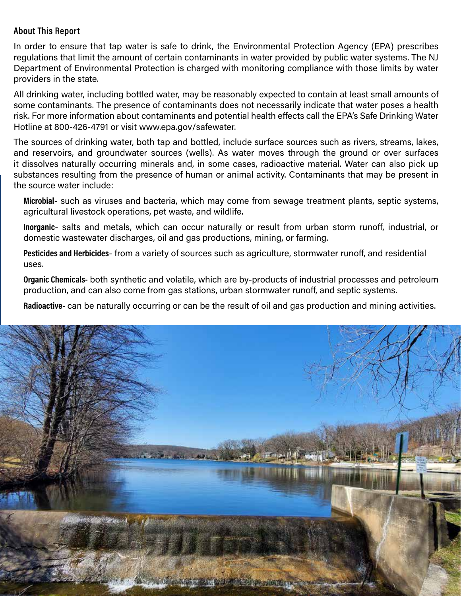## About This Report

In order to ensure that tap water is safe to drink, the Environmental Protection Agency (EPA) prescribes regulations that limit the amount of certain contaminants in water provided by public water systems. The NJ Department of Environmental Protection is charged with monitoring compliance with those limits by water providers in the state.

All drinking water, including bottled water, may be reasonably expected to contain at least small amounts of some contaminants. The presence of contaminants does not necessarily indicate that water poses a health risk. For more information about contaminants and potential health effects call the EPA's Safe Drinking Water Hotline at 800-426-4791 or visit [www.epa.gov/safewater](http://www.epa.gov/safewater).

The sources of drinking water, both tap and bottled, include surface sources such as rivers, streams, lakes, and reservoirs, and groundwater sources (wells). As water moves through the ground or over surfaces it dissolves naturally occurring minerals and, in some cases, radioactive material. Water can also pick up substances resulting from the presence of human or animal activity. Contaminants that may be present in the source water include:

Microbial- such as viruses and bacteria, which may come from sewage treatment plants, septic systems, agricultural livestock operations, pet waste, and wildlife.

Inorganic- salts and metals, which can occur naturally or result from urban storm runoff, industrial, or domestic wastewater discharges, oil and gas productions, mining, or farming.

Pesticides and Herbicides- from a variety of sources such as agriculture, stormwater runoff, and residential uses.

Organic Chemicals- both synthetic and volatile, which are by-products of industrial processes and petroleum production, and can also come from gas stations, urban stormwater runoff, and septic systems.

Radioactive- can be naturally occurring or can be the result of oil and gas production and mining activities.

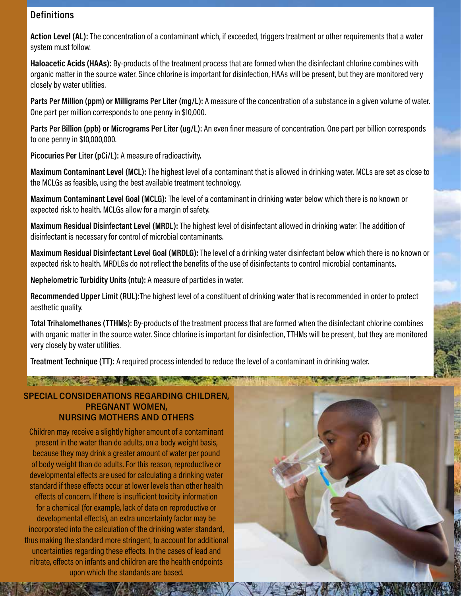## **Definitions**

Action Level (AL): The concentration of a contaminant which, if exceeded, triggers treatment or other requirements that a water system must follow.

Haloacetic Acids (HAAs): By-products of the treatment process that are formed when the disinfectant chlorine combines with organic matter in the source water. Since chlorine is important for disinfection, HAAs will be present, but they are monitored very closely by water utilities.

Parts Per Million (ppm) or Milligrams Per Liter (mg/L): A measure of the concentration of a substance in a given volume of water. One part per million corresponds to one penny in \$10,000.

Parts Per Billion (ppb) or Micrograms Per Liter (ug/L): An even finer measure of concentration. One part per billion corresponds to one penny in \$10,000,000.

Picocuries Per Liter (pCi/L): A measure of radioactivity.

Maximum Contaminant Level (MCL): The highest level of a contaminant that is allowed in drinking water. MCLs are set as close to the MCLGs as feasible, using the best available treatment technology.

Maximum Contaminant Level Goal (MCLG): The level of a contaminant in drinking water below which there is no known or expected risk to health. MCLGs allow for a margin of safety.

Maximum Residual Disinfectant Level (MRDL): The highest level of disinfectant allowed in drinking water. The addition of disinfectant is necessary for control of microbial contaminants.

Maximum Residual Disinfectant Level Goal (MRDLG): The level of a drinking water disinfectant below which there is no known or expected risk to health. MRDLGs do not reflect the benefits of the use of disinfectants to control microbial contaminants.

Nephelometric Turbidity Units (ntu): A measure of particles in water.

Recommended Upper Limit (RUL):The highest level of a constituent of drinking water that is recommended in order to protect aesthetic quality.

Total Trihalomethanes (TTHMs): By-products of the treatment process that are formed when the disinfectant chlorine combines with organic matter in the source water. Since chlorine is important for disinfection, TTHMs will be present, but they are monitored very closely by water utilities.

Treatment Technique (TT): A required process intended to reduce the level of a contaminant in drinking water.

## SPECIAL CONSIDERATIONS REGARDING CHILDREN, PREGNANT WOMEN, NURSING MOTHERS AND OTHERS

The contract of the state with the contract

Children may receive a slightly higher amount of a contaminant present in the water than do adults, on a body weight basis, because they may drink a greater amount of water per pound of body weight than do adults. For this reason, reproductive or developmental effects are used for calculating a drinking water standard if these effects occur at lower levels than other health effects of concern. If there is insufficient toxicity information for a chemical (for example, lack of data on reproductive or developmental effects), an extra uncertainty factor may be incorporated into the calculation of the drinking water standard, thus making the standard more stringent, to account for additional uncertainties regarding these effects. In the cases of lead and nitrate, effects on infants and children are the health endpoints upon which the standards are based.

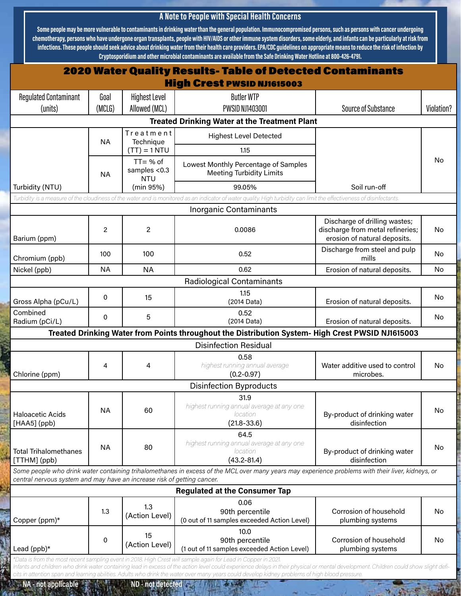## A Note to People with Special Health Concerns

Some people may be more vulnerable to contaminants in drinking water than the general population. Immunocompromised persons, such as persons with cancer undergoing chemotherapy, persons who have undergone organ transplants, people with HIV/AIDS or other immune system disorders, some elderly, and infants can be particularly at risk from infections. These people should seek advice about drinking water from their health care providers. EPA/CDC guidelines on appropriate means to reduce the risk of infection by Cryptosporidium and other microbial contaminants are available from the Safe Drinking Water Hotline at 800-426-4791.

|                                                                         |                |                                       | <b>2020 Water Quality Results- Table of Detected Contaminants</b>                                                                                                                                                                                                                                                                                                                                                                                         |                                                                                                   |            |  |
|-------------------------------------------------------------------------|----------------|---------------------------------------|-----------------------------------------------------------------------------------------------------------------------------------------------------------------------------------------------------------------------------------------------------------------------------------------------------------------------------------------------------------------------------------------------------------------------------------------------------------|---------------------------------------------------------------------------------------------------|------------|--|
|                                                                         |                |                                       | <b>High Crest PWSID NJ1615003</b>                                                                                                                                                                                                                                                                                                                                                                                                                         |                                                                                                   |            |  |
| <b>Regulated Contaminant</b>                                            | Goal<br>(MCLG) | <b>Highest Level</b><br>Allowed (MCL) | <b>Butler WTP</b><br>PWSID NJ1403001                                                                                                                                                                                                                                                                                                                                                                                                                      | <b>Source of Substance</b>                                                                        | Violation? |  |
| (units)                                                                 |                |                                       | <b>Treated Drinking Water at the Treatment Plant</b>                                                                                                                                                                                                                                                                                                                                                                                                      |                                                                                                   |            |  |
|                                                                         |                | Treatment                             |                                                                                                                                                                                                                                                                                                                                                                                                                                                           |                                                                                                   |            |  |
|                                                                         | <b>NA</b>      | Technique<br>$(TT) = 1 NTU$           | <b>Highest Level Detected</b><br>1.15                                                                                                                                                                                                                                                                                                                                                                                                                     |                                                                                                   |            |  |
|                                                                         | <b>NA</b>      | $TT = % of$                           |                                                                                                                                                                                                                                                                                                                                                                                                                                                           |                                                                                                   | <b>No</b>  |  |
|                                                                         |                | samples <0.3<br><b>NTU</b>            | Lowest Monthly Percentage of Samples<br><b>Meeting Turbidity Limits</b>                                                                                                                                                                                                                                                                                                                                                                                   |                                                                                                   |            |  |
| Turbidity (NTU)                                                         |                | (min 95%)                             | 99.05%                                                                                                                                                                                                                                                                                                                                                                                                                                                    | Soil run-off                                                                                      |            |  |
|                                                                         |                |                                       | Turbidity is a measure of the cloudiness of the water and is monitored as an indicator of water quality. High turbidity can limit the effectiveness of disinfectants.                                                                                                                                                                                                                                                                                     |                                                                                                   |            |  |
|                                                                         |                |                                       | <b>Inorganic Contaminants</b>                                                                                                                                                                                                                                                                                                                                                                                                                             |                                                                                                   |            |  |
| Barium (ppm)                                                            | 2              | $\overline{c}$                        | 0.0086                                                                                                                                                                                                                                                                                                                                                                                                                                                    | Discharge of drilling wastes;<br>discharge from metal refineries;<br>erosion of natural deposits. | No         |  |
| Chromium (ppb)                                                          | 100            | 100                                   | 0.52                                                                                                                                                                                                                                                                                                                                                                                                                                                      | Discharge from steel and pulp<br>mills                                                            | No.        |  |
| Nickel (ppb)                                                            | <b>NA</b>      | <b>NA</b>                             | 0.62                                                                                                                                                                                                                                                                                                                                                                                                                                                      | Erosion of natural deposits.                                                                      | No         |  |
|                                                                         |                |                                       | <b>Radiological Contaminants</b>                                                                                                                                                                                                                                                                                                                                                                                                                          |                                                                                                   |            |  |
| Gross Alpha (pCu/L)                                                     | 0              | 15                                    | 1.15<br>(2014 Data)                                                                                                                                                                                                                                                                                                                                                                                                                                       | Erosion of natural deposits.                                                                      | No         |  |
| Combined<br>Radium (pCi/L)                                              | 0              | 5                                     | 0.52<br>(2014 Data)                                                                                                                                                                                                                                                                                                                                                                                                                                       | Erosion of natural deposits.                                                                      | No         |  |
|                                                                         |                |                                       | Treated Drinking Water from Points throughout the Distribution System- High Crest PWSID NJ1615003                                                                                                                                                                                                                                                                                                                                                         |                                                                                                   |            |  |
|                                                                         |                |                                       | <b>Disinfection Residual</b>                                                                                                                                                                                                                                                                                                                                                                                                                              |                                                                                                   |            |  |
| Chlorine (ppm)                                                          | 4              | 4                                     | 0.58<br>highest running annual average<br>$(0.2 - 0.97)$                                                                                                                                                                                                                                                                                                                                                                                                  | Water additive used to control<br>microbes.                                                       | No         |  |
| <b>Disinfection Byproducts</b>                                          |                |                                       |                                                                                                                                                                                                                                                                                                                                                                                                                                                           |                                                                                                   |            |  |
| <b>Haloacetic Acids</b><br>[HAA5] (ppb)                                 | <b>NA</b>      | 60                                    | 31.9<br>highest running annual average at any one<br>location<br>$(21.8 - 33.6)$                                                                                                                                                                                                                                                                                                                                                                          | By-product of drinking water<br>disinfection                                                      | No         |  |
| <b>Total Trihalomethanes</b><br>[TTHM] (ppb)                            | <b>NA</b>      | 80                                    | 64.5<br>highest running annual average at any one<br>location<br>$(43.2 - 81.4)$                                                                                                                                                                                                                                                                                                                                                                          | By-product of drinking water<br>disinfection                                                      | <b>No</b>  |  |
| central nervous system and may have an increase risk of getting cancer. |                |                                       | Some people who drink water containing trihalomethanes in excess of the MCL over many years may experience problems with their liver, kidneys, or                                                                                                                                                                                                                                                                                                         |                                                                                                   |            |  |
|                                                                         |                |                                       | <b>Regulated at the Consumer Tap</b>                                                                                                                                                                                                                                                                                                                                                                                                                      |                                                                                                   |            |  |
| Copper (ppm)*                                                           | 1.3            | 1.3<br>(Action Level)                 | 0.06<br>90th percentile<br>(0 out of 11 samples exceeded Action Level)                                                                                                                                                                                                                                                                                                                                                                                    | Corrosion of household<br>plumbing systems                                                        | <b>No</b>  |  |
| Lead (ppb)*                                                             | 0              | 15<br>(Action Level)                  | 10.0<br>90th percentile<br>(1 out of 11 samples exceeded Action Level)                                                                                                                                                                                                                                                                                                                                                                                    | Corrosion of household<br>plumbing systems                                                        | No         |  |
|                                                                         |                |                                       | *Data is from the most recent sampling event in 2018. High Crest will sample again for Lead in Copper in 2021.<br>Infants and children who drink water containing lead in excess of the action level could experience delays in their physical or mental development. Children could show slight defi-<br>cits in attention span and learning abilities. Adults who drink the water over many years could develop kidney problems of high blood pressure. |                                                                                                   |            |  |

 $9.555$ 

**MARKET A**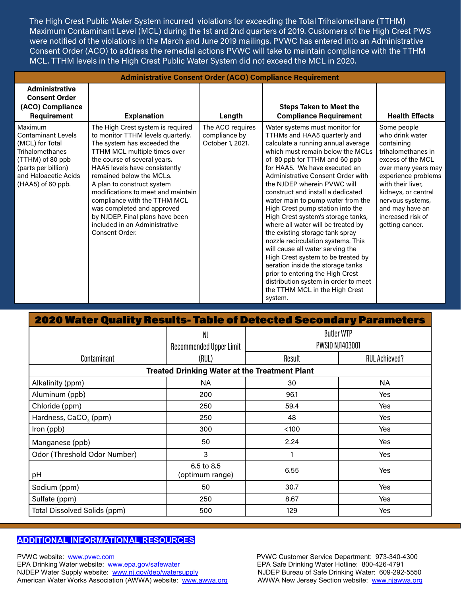The High Crest Public Water System incurred violations for exceeding the Total Trihalomethane (TTHM) Maximum Contaminant Level (MCL) during the 1st and 2nd quarters of 2019. Customers of the High Crest PWS were notified of the violations in the March and June 2019 mailings. PVWC has entered into an Administrative Consent Order (ACO) to address the remedial actions PVWC will take to maintain compliance with the TTHM MCL. TTHM levels in the High Crest Public Water System did not exceed the MCL in 2020.

| <b>Administrative Consent Order (ACO) Compliance Requirement</b>                                                                                                          |                                                                                                                                                                                                                                                                                                                                                                                                                                                            |                                                       |                                                                                                                                                                                                                                                                                                                                                                                                                                                                                                                                                                                                                                                                                                                                                                                           |                                                                                                                                                                                                                                                                  |  |  |
|---------------------------------------------------------------------------------------------------------------------------------------------------------------------------|------------------------------------------------------------------------------------------------------------------------------------------------------------------------------------------------------------------------------------------------------------------------------------------------------------------------------------------------------------------------------------------------------------------------------------------------------------|-------------------------------------------------------|-------------------------------------------------------------------------------------------------------------------------------------------------------------------------------------------------------------------------------------------------------------------------------------------------------------------------------------------------------------------------------------------------------------------------------------------------------------------------------------------------------------------------------------------------------------------------------------------------------------------------------------------------------------------------------------------------------------------------------------------------------------------------------------------|------------------------------------------------------------------------------------------------------------------------------------------------------------------------------------------------------------------------------------------------------------------|--|--|
| <b>Administrative</b><br><b>Consent Order</b><br>(ACO) Compliance<br>Requirement                                                                                          | <b>Explanation</b>                                                                                                                                                                                                                                                                                                                                                                                                                                         | Length                                                | <b>Steps Taken to Meet the</b><br><b>Compliance Requirement</b>                                                                                                                                                                                                                                                                                                                                                                                                                                                                                                                                                                                                                                                                                                                           | <b>Health Effects</b>                                                                                                                                                                                                                                            |  |  |
| Maximum<br><b>Contaminant Levels</b><br>(MCL) for Total<br><b>Trihalomethanes</b><br>(TTHM) of 80 ppb<br>(parts per billion)<br>and Haloacetic Acids<br>(HAA5) of 60 ppb. | The High Crest system is required<br>to monitor TTHM levels quarterly.<br>The system has exceeded the<br>TTHM MCL multiple times over<br>the course of several years.<br>HAA5 levels have consistently<br>remained below the MCLs.<br>A plan to construct system<br>modifications to meet and maintain<br>compliance with the TTHM MCL<br>was completed and approved<br>by NJDEP. Final plans have been<br>included in an Administrative<br>Consent Order. | The ACO requires<br>compliance by<br>October 1, 2021. | Water systems must monitor for<br>TTHMs and HAA5 quarterly and<br>calculate a running annual average<br>which must remain below the MCLs<br>of 80 ppb for TTHM and 60 ppb<br>for HAA5. We have executed an<br>Administrative Consent Order with<br>the NJDEP wherein PVWC will<br>construct and install a dedicated<br>water main to pump water from the<br>High Crest pump station into the<br>High Crest system's storage tanks,<br>where all water will be treated by<br>the existing storage tank spray<br>nozzle recirculation systems. This<br>will cause all water serving the<br>High Crest system to be treated by<br>aeration inside the storage tanks<br>prior to entering the High Crest<br>distribution system in order to meet<br>the TTHM MCL in the High Crest<br>system. | Some people<br>who drink water<br>containing<br>trihalomethanes in<br>excess of the MCL<br>over many years may<br>experience problems<br>with their liver,<br>kidneys, or central<br>nervous systems,<br>and may have an<br>increased risk of<br>getting cancer. |  |  |

| <b>2020 Water Quality Results- Table of Detected Secondary Parameters</b> |                                                                                     |        |                      |  |  |  |  |
|---------------------------------------------------------------------------|-------------------------------------------------------------------------------------|--------|----------------------|--|--|--|--|
|                                                                           | <b>Butler WTP</b><br>NJ<br><b>PWSID NJ1403001</b><br><b>Recommended Upper Limit</b> |        |                      |  |  |  |  |
| Contaminant                                                               | (RUL)                                                                               | Result | <b>RUL Achieved?</b> |  |  |  |  |
| <b>Treated Drinking Water at the Treatment Plant</b>                      |                                                                                     |        |                      |  |  |  |  |
| Alkalinity (ppm)                                                          | <b>NA</b>                                                                           | 30     | NA.                  |  |  |  |  |
| Aluminum (ppb)                                                            | 200                                                                                 | 96.1   | Yes                  |  |  |  |  |
| Chloride (ppm)                                                            | 250                                                                                 | 59.4   | <b>Yes</b>           |  |  |  |  |
| Hardness, CaCO <sub>3</sub> (ppm)                                         | 250                                                                                 | 48     | Yes                  |  |  |  |  |
| Iron (ppb)                                                                | 300                                                                                 | $100$  | Yes                  |  |  |  |  |
| Manganese (ppb)                                                           | 50                                                                                  | 2.24   | Yes                  |  |  |  |  |
| Odor (Threshold Odor Number)                                              | 3                                                                                   |        | <b>Yes</b>           |  |  |  |  |
| рH                                                                        | 6.5 to 8.5<br>(optimum range)                                                       | 6.55   | Yes                  |  |  |  |  |
| Sodium (ppm)                                                              | 50                                                                                  | 30.7   | <b>Yes</b>           |  |  |  |  |
| Sulfate (ppm)                                                             | 250                                                                                 | 8.67   | Yes                  |  |  |  |  |
| Total Dissolved Solids (ppm)                                              | 500                                                                                 | 129    | Yes                  |  |  |  |  |

#### **ADDITIONAL INFORMATIONAL RESOURCES**

PVWC website: www.pvwc.com end and provide the PVWC Customer Service Department: 973-340-4300<br>EPA Drinking Water website: www.epa.gov/safewater end and the EPA Safe Drinking Water Hotline: 800-426-4791 EPA Drinking Water website: www.epa.gov/safewater EPA Safe Drinking Water Hotline: 800-426-4791<br>NJDEP Water Supply website: www.nj.gov/dep/watersupply NJDEP Bureau of Safe Drinking Water: 609-292-5550 NJDEP Water Supply website: www.nj.gov/dep/watersupply MJDEP Bureau of Safe Drinking Water: 609-292-5550<br>American Water Works Association (AWWA) website: www.awwa.org AWWA New Jersey Section website: www.njawwa.org American Water Works Association (AWWA) website: www.awwa.org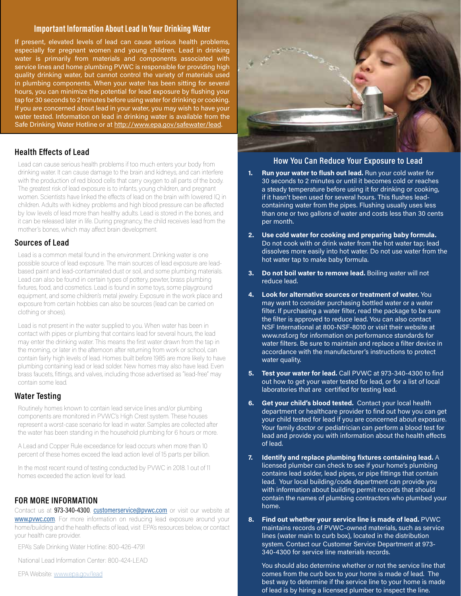#### Important Information About Lead In Your Drinking Water

If present, elevated levels of lead can cause serious health problems, especially for pregnant women and young children. Lead in drinking water is primarily from materials and components associated with service lines and home plumbing PVWC is responsible for providing high quality drinking water, but cannot control the variety of materials used in plumbing components. When your water has been sitting for several hours, you can minimize the potential for lead exposure by flushing your tap for 30 seconds to 2 minutes before using water for drinking or cooking. If you are concerned about lead in your water, you may wish to have your water tested. Information on lead in drinking water is available from the Safe Drinking Water Hotline or at [http://www.epa.gov/safewater/lead.](http://www.epa.gov/safewater/lead)

#### Health Effects of Lead

Lead can cause serious health problems if too much enters your body from drinking water. It can cause damage to the brain and kidneys, and can interfere with the production of red blood cells that carry oxygen to all parts of the body. The greatest risk of lead exposure is to infants, young children, and pregnant women. Scientists have linked the effects of lead on the brain with lowered IQ in children. Adults with kidney problems and high blood pressure can be affected by low levels of lead more than healthy adults. Lead is stored in the bones, and it can be released later in life. During pregnancy, the child receives lead from the mother's bones, which may affect brain development.

#### Sources of Lead

Lead is a common metal found in the environment. Drinking water is one possible source of lead exposure. The main sources of lead exposure are leadbased paint and lead-contaminated dust or soil, and some plumbing materials. Lead can also be found in certain types of pottery, pewter, brass plumbing fixtures, food, and cosmetics. Lead is found in some toys, some playground equipment, and some children's metal jewelry. Exposure in the work place and exposure from certain hobbies can also be sources (lead can be carried on clothing or shoes).

Lead is not present in the water supplied to you. When water has been in contact with pipes or plumbing that contains lead for several hours, the lead may enter the drinking water. This means the first water drawn from the tap in the morning, or later in the afternoon after returning from work or school, can contain fairly high levels of lead. Homes built before 1985 are more likely to have plumbing containing lead or lead solder. New homes may also have lead. Even brass faucets, fittings, and valves, including those advertised as "lead-free" may contain some lead.

#### Water Testing

Routinely homes known to contain lead service lines and/or plumbing components are monitored in PVWC's High Crest system. These houses represent a worst-case scenario for lead in water. Samples are collected after the water has been standing in the household plumbing for 6 hours or more.

A Lead and Copper Rule exceedance for lead occurs when more than 10 percent of these homes exceed the lead action level of 15 parts per billion.

In the most recent round of testing conducted by PVWC in 2018. 1 out of 11 homes exceeded the action level for lead.

#### FOR MORE INFORMATION

Contact us at 973-340-4300, [customerservice@pvwc.com](mailto:customerservice@pvwc.com) or visit our website at **[www.pvwc.com](http://www.pvwc.com)**. For more information on reducing lead exposure around your home/building and the health effects of lead, visit EPA's resources below, or contact your health care provider.

EPA's Safe Drinking Water Hotline: 800-426-4791

National Lead Information Center: 800-424-LEAD

EPA Website: [www.epa.gov/lead](http://www.epa.gov/lead)



#### How You Can Reduce Your Exposure to Lead

- 1. Run your water to flush out lead. Run your cold water for 30 seconds to 2 minutes or until it becomes cold or reaches a steady temperature before using it for drinking or cooking, if it hasn't been used for several hours. This flushes leadcontaining water from the pipes. Flushing usually uses less than one or two gallons of water and costs less than 30 cents per month.
- 2. Use cold water for cooking and preparing baby formula. Do not cook with or drink water from the hot water tap; lead dissolves more easily into hot water. Do not use water from the hot water tap to make baby formula.
- 3. Do not boil water to remove lead. Boiling water will not reduce lead.
- 4. Look for alternative sources or treatment of water. You may want to consider purchasing bottled water or a water filter. If purchasing a water filter, read the package to be sure the filter is approved to reduce lead. You can also contact NSF International at 800-NSF-8010 or visit their website at www.nsf.org for information on performance standards for water filters. Be sure to maintain and replace a filter device in accordance with the manufacturer's instructions to protect water quality.
- 5. Test your water for lead. Call PVWC at 973-340-4300 to find out how to get your water tested for lead, or for a list of local laboratories that are certified for testing lead.
- Get your child's blood tested. Contact your local health department or healthcare provider to find out how you can get your child tested for lead if you are concerned about exposure. Your family doctor or pediatrician can perform a blood test for lead and provide you with information about the health effects of lead.
- 7. Identify and replace plumbing fixtures containing lead.  $A$ licensed plumber can check to see if your home's plumbing contains lead solder, lead pipes, or pipe fittings that contain lead. Your local building/code department can provide you with information about building permit records that should contain the names of plumbing contractors who plumbed your home.
- 8. Find out whether your service line is made of lead. PVWC maintains records of PVWC-owned materials, such as service lines (water main to curb box), located in the distribution system. Contact our Customer Service Department at 973- 340-4300 for service line materials records.

You should also determine whether or not the service line that comes from the curb box to your home is made of lead. The best way to determine if the service line to your home is made of lead is by hiring a licensed plumber to inspect the line.